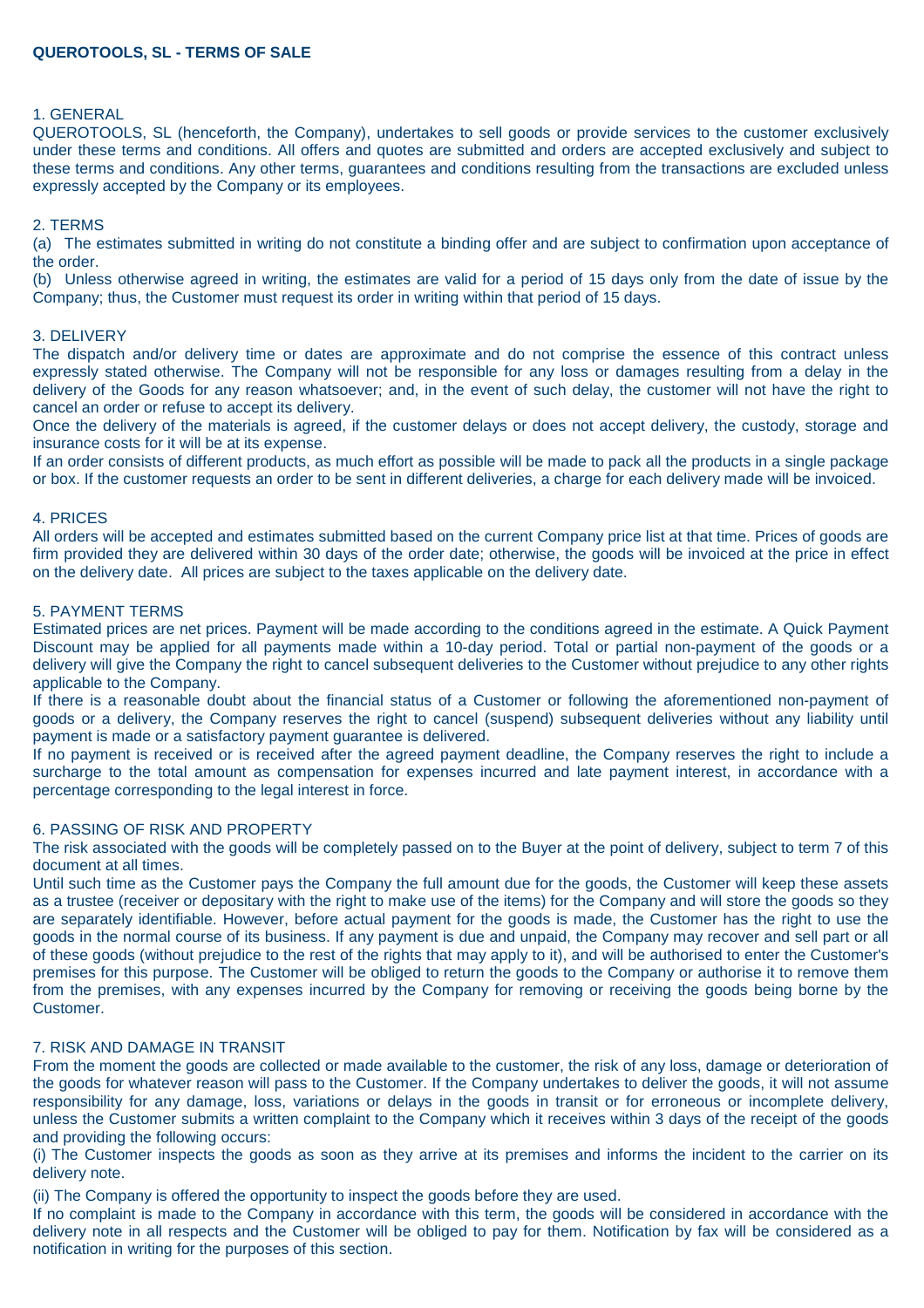## **QUEROTOOLS, SL - TERMS OF SALE**

#### 1. GENERAL

QUEROTOOLS, SL (henceforth, the Company), undertakes to sell goods or provide services to the customer exclusively under these terms and conditions. All offers and quotes are submitted and orders are accepted exclusively and subject to these terms and conditions. Any other terms, guarantees and conditions resulting from the transactions are excluded unless expressly accepted by the Company or its employees.

#### 2. TERMS

(a) The estimates submitted in writing do not constitute a binding offer and are subject to confirmation upon acceptance of the order.

(b) Unless otherwise agreed in writing, the estimates are valid for a period of 15 days only from the date of issue by the Company; thus, the Customer must request its order in writing within that period of 15 days.

#### 3. DELIVERY

The dispatch and/or delivery time or dates are approximate and do not comprise the essence of this contract unless expressly stated otherwise. The Company will not be responsible for any loss or damages resulting from a delay in the delivery of the Goods for any reason whatsoever; and, in the event of such delay, the customer will not have the right to cancel an order or refuse to accept its delivery.

Once the delivery of the materials is agreed, if the customer delays or does not accept delivery, the custody, storage and insurance costs for it will be at its expense.

If an order consists of different products, as much effort as possible will be made to pack all the products in a single package or box. If the customer requests an order to be sent in different deliveries, a charge for each delivery made will be invoiced.

#### 4. PRICES

All orders will be accepted and estimates submitted based on the current Company price list at that time. Prices of goods are firm provided they are delivered within 30 days of the order date; otherwise, the goods will be invoiced at the price in effect on the delivery date. All prices are subject to the taxes applicable on the delivery date.

#### 5. PAYMENT TERMS

Estimated prices are net prices. Payment will be made according to the conditions agreed in the estimate. A Quick Payment Discount may be applied for all payments made within a 10-day period. Total or partial non-payment of the goods or a delivery will give the Company the right to cancel subsequent deliveries to the Customer without prejudice to any other rights applicable to the Company.

If there is a reasonable doubt about the financial status of a Customer or following the aforementioned non-payment of goods or a delivery, the Company reserves the right to cancel (suspend) subsequent deliveries without any liability until payment is made or a satisfactory payment guarantee is delivered.

If no payment is received or is received after the agreed payment deadline, the Company reserves the right to include a surcharge to the total amount as compensation for expenses incurred and late payment interest, in accordance with a percentage corresponding to the legal interest in force.

# 6. PASSING OF RISK AND PROPERTY

The risk associated with the goods will be completely passed on to the Buyer at the point of delivery, subject to term 7 of this document at all times.

Until such time as the Customer pays the Company the full amount due for the goods, the Customer will keep these assets as a trustee (receiver or depositary with the right to make use of the items) for the Company and will store the goods so they are separately identifiable. However, before actual payment for the goods is made, the Customer has the right to use the goods in the normal course of its business. If any payment is due and unpaid, the Company may recover and sell part or all of these goods (without prejudice to the rest of the rights that may apply to it), and will be authorised to enter the Customer's premises for this purpose. The Customer will be obliged to return the goods to the Company or authorise it to remove them from the premises, with any expenses incurred by the Company for removing or receiving the goods being borne by the Customer.

# 7. RISK AND DAMAGE IN TRANSIT

From the moment the goods are collected or made available to the customer, the risk of any loss, damage or deterioration of the goods for whatever reason will pass to the Customer. If the Company undertakes to deliver the goods, it will not assume responsibility for any damage, loss, variations or delays in the goods in transit or for erroneous or incomplete delivery, unless the Customer submits a written complaint to the Company which it receives within 3 days of the receipt of the goods and providing the following occurs:

(i) The Customer inspects the goods as soon as they arrive at its premises and informs the incident to the carrier on its delivery note.

(ii) The Company is offered the opportunity to inspect the goods before they are used.

If no complaint is made to the Company in accordance with this term, the goods will be considered in accordance with the delivery note in all respects and the Customer will be obliged to pay for them. Notification by fax will be considered as a notification in writing for the purposes of this section.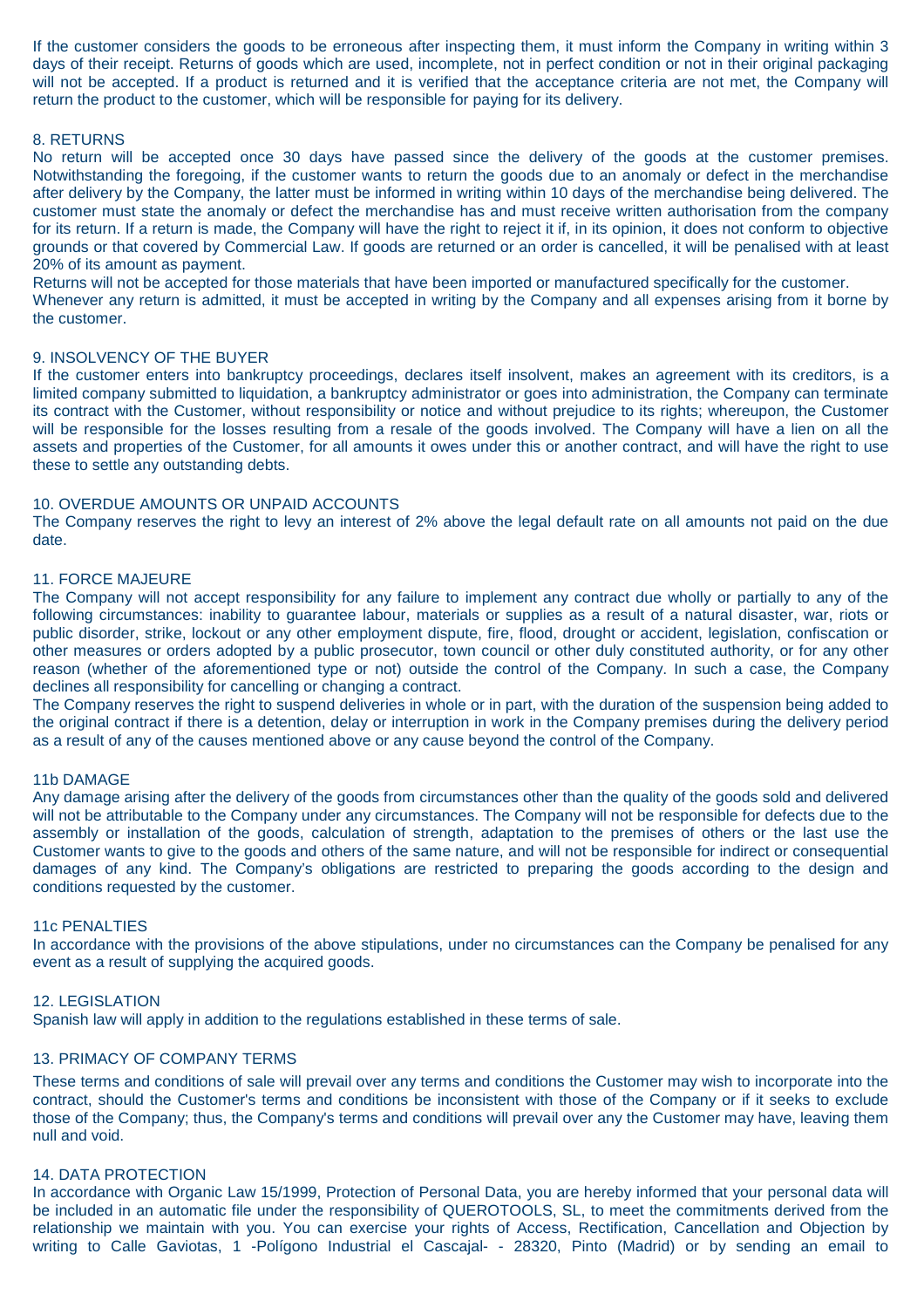If the customer considers the goods to be erroneous after inspecting them, it must inform the Company in writing within 3 days of their receipt. Returns of goods which are used, incomplete, not in perfect condition or not in their original packaging will not be accepted. If a product is returned and it is verified that the acceptance criteria are not met, the Company will return the product to the customer, which will be responsible for paying for its delivery.

# 8. RETURNS

No return will be accepted once 30 days have passed since the delivery of the goods at the customer premises. Notwithstanding the foregoing, if the customer wants to return the goods due to an anomaly or defect in the merchandise after delivery by the Company, the latter must be informed in writing within 10 days of the merchandise being delivered. The customer must state the anomaly or defect the merchandise has and must receive written authorisation from the company for its return. If a return is made, the Company will have the right to reject it if, in its opinion, it does not conform to objective grounds or that covered by Commercial Law. If goods are returned or an order is cancelled, it will be penalised with at least 20% of its amount as payment.

Returns will not be accepted for those materials that have been imported or manufactured specifically for the customer.

Whenever any return is admitted, it must be accepted in writing by the Company and all expenses arising from it borne by the customer.

## 9. INSOLVENCY OF THE BUYER

If the customer enters into bankruptcy proceedings, declares itself insolvent, makes an agreement with its creditors, is a limited company submitted to liquidation, a bankruptcy administrator or goes into administration, the Company can terminate its contract with the Customer, without responsibility or notice and without prejudice to its rights; whereupon, the Customer will be responsible for the losses resulting from a resale of the goods involved. The Company will have a lien on all the assets and properties of the Customer, for all amounts it owes under this or another contract, and will have the right to use these to settle any outstanding debts.

# 10. OVERDUE AMOUNTS OR UNPAID ACCOUNTS

The Company reserves the right to levy an interest of 2% above the legal default rate on all amounts not paid on the due date.

## 11. FORCE MAJEURE

The Company will not accept responsibility for any failure to implement any contract due wholly or partially to any of the following circumstances: inability to guarantee labour, materials or supplies as a result of a natural disaster, war, riots or public disorder, strike, lockout or any other employment dispute, fire, flood, drought or accident, legislation, confiscation or other measures or orders adopted by a public prosecutor, town council or other duly constituted authority, or for any other reason (whether of the aforementioned type or not) outside the control of the Company. In such a case, the Company declines all responsibility for cancelling or changing a contract.

The Company reserves the right to suspend deliveries in whole or in part, with the duration of the suspension being added to the original contract if there is a detention, delay or interruption in work in the Company premises during the delivery period as a result of any of the causes mentioned above or any cause beyond the control of the Company.

## 11b DAMAGE

Any damage arising after the delivery of the goods from circumstances other than the quality of the goods sold and delivered will not be attributable to the Company under any circumstances. The Company will not be responsible for defects due to the assembly or installation of the goods, calculation of strength, adaptation to the premises of others or the last use the Customer wants to give to the goods and others of the same nature, and will not be responsible for indirect or consequential damages of any kind. The Company's obligations are restricted to preparing the goods according to the design and conditions requested by the customer.

#### 11c PENALTIES

In accordance with the provisions of the above stipulations, under no circumstances can the Company be penalised for any event as a result of supplying the acquired goods.

## 12. LEGISLATION

Spanish law will apply in addition to the regulations established in these terms of sale.

## 13. PRIMACY OF COMPANY TERMS

These terms and conditions of sale will prevail over any terms and conditions the Customer may wish to incorporate into the contract, should the Customer's terms and conditions be inconsistent with those of the Company or if it seeks to exclude those of the Company; thus, the Company's terms and conditions will prevail over any the Customer may have, leaving them null and void.

## 14. DATA PROTECTION

In accordance with Organic Law 15/1999, Protection of Personal Data, you are hereby informed that your personal data will be included in an automatic file under the responsibility of QUEROTOOLS, SL, to meet the commitments derived from the relationship we maintain with you. You can exercise your rights of Access, Rectification, Cancellation and Objection by writing to Calle Gaviotas, 1 -Polígono Industrial el Cascajal- - 28320, Pinto (Madrid) or by sending an email to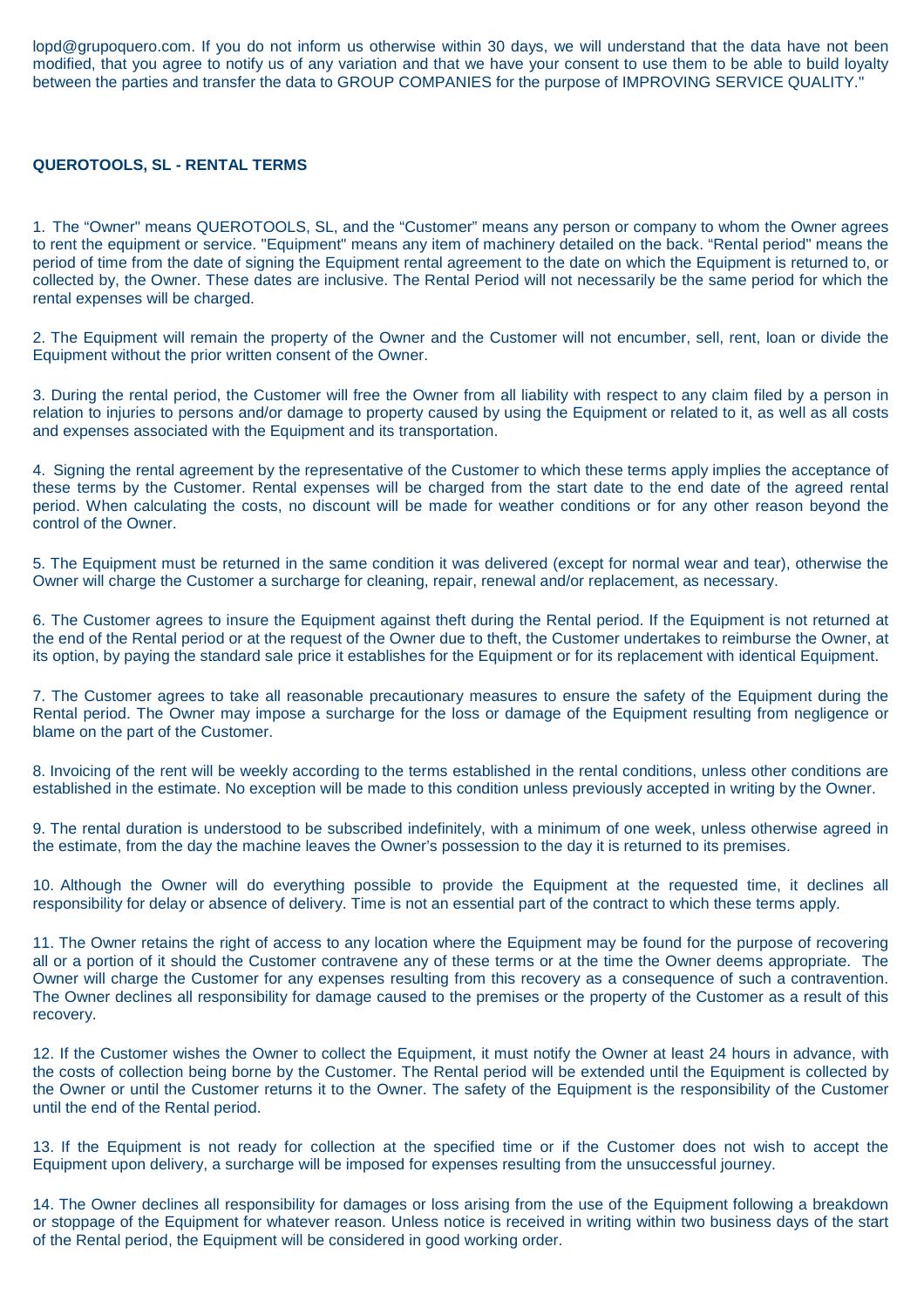lopd@grupoquero.com. If you do not inform us otherwise within 30 days, we will understand that the data have not been modified, that you agree to notify us of any variation and that we have your consent to use them to be able to build loyalty between the parties and transfer the data to GROUP COMPANIES for the purpose of IMPROVING SERVICE QUALITY."

# **QUEROTOOLS, SL - RENTAL TERMS**

1. The "Owner" means QUEROTOOLS, SL, and the "Customer" means any person or company to whom the Owner agrees to rent the equipment or service. "Equipment" means any item of machinery detailed on the back. "Rental period" means the period of time from the date of signing the Equipment rental agreement to the date on which the Equipment is returned to, or collected by, the Owner. These dates are inclusive. The Rental Period will not necessarily be the same period for which the rental expenses will be charged.

2. The Equipment will remain the property of the Owner and the Customer will not encumber, sell, rent, loan or divide the Equipment without the prior written consent of the Owner.

3. During the rental period, the Customer will free the Owner from all liability with respect to any claim filed by a person in relation to injuries to persons and/or damage to property caused by using the Equipment or related to it, as well as all costs and expenses associated with the Equipment and its transportation.

4. Signing the rental agreement by the representative of the Customer to which these terms apply implies the acceptance of these terms by the Customer. Rental expenses will be charged from the start date to the end date of the agreed rental period. When calculating the costs, no discount will be made for weather conditions or for any other reason beyond the control of the Owner.

5. The Equipment must be returned in the same condition it was delivered (except for normal wear and tear), otherwise the Owner will charge the Customer a surcharge for cleaning, repair, renewal and/or replacement, as necessary.

6. The Customer agrees to insure the Equipment against theft during the Rental period. If the Equipment is not returned at the end of the Rental period or at the request of the Owner due to theft, the Customer undertakes to reimburse the Owner, at its option, by paying the standard sale price it establishes for the Equipment or for its replacement with identical Equipment.

7. The Customer agrees to take all reasonable precautionary measures to ensure the safety of the Equipment during the Rental period. The Owner may impose a surcharge for the loss or damage of the Equipment resulting from negligence or blame on the part of the Customer.

8. Invoicing of the rent will be weekly according to the terms established in the rental conditions, unless other conditions are established in the estimate. No exception will be made to this condition unless previously accepted in writing by the Owner.

9. The rental duration is understood to be subscribed indefinitely, with a minimum of one week, unless otherwise agreed in the estimate, from the day the machine leaves the Owner's possession to the day it is returned to its premises.

10. Although the Owner will do everything possible to provide the Equipment at the requested time, it declines all responsibility for delay or absence of delivery. Time is not an essential part of the contract to which these terms apply.

11. The Owner retains the right of access to any location where the Equipment may be found for the purpose of recovering all or a portion of it should the Customer contravene any of these terms or at the time the Owner deems appropriate. The Owner will charge the Customer for any expenses resulting from this recovery as a consequence of such a contravention. The Owner declines all responsibility for damage caused to the premises or the property of the Customer as a result of this recovery.

12. If the Customer wishes the Owner to collect the Equipment, it must notify the Owner at least 24 hours in advance, with the costs of collection being borne by the Customer. The Rental period will be extended until the Equipment is collected by the Owner or until the Customer returns it to the Owner. The safety of the Equipment is the responsibility of the Customer until the end of the Rental period.

13. If the Equipment is not ready for collection at the specified time or if the Customer does not wish to accept the Equipment upon delivery, a surcharge will be imposed for expenses resulting from the unsuccessful journey.

14. The Owner declines all responsibility for damages or loss arising from the use of the Equipment following a breakdown or stoppage of the Equipment for whatever reason. Unless notice is received in writing within two business days of the start of the Rental period, the Equipment will be considered in good working order.